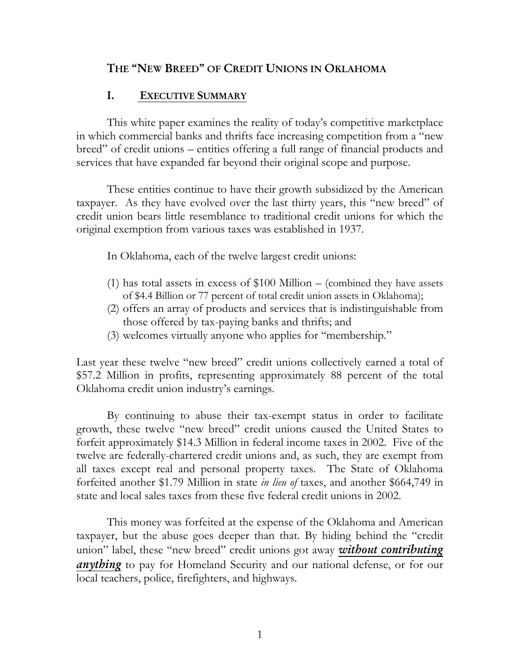## **THE "NEW BREED" OF CREDIT UNIONS IN OKLAHOMA**

### **I. EXECUTIVE SUMMARY**

 This white paper examines the reality of today's competitive marketplace in which commercial banks and thrifts face increasing competition from a "new breed" of credit unions – entities offering a full range of financial products and services that have expanded far beyond their original scope and purpose.

These entities continue to have their growth subsidized by the American taxpayer. As they have evolved over the last thirty years, this "new breed" of credit union bears little resemblance to traditional credit unions for which the original exemption from various taxes was established in 1937.

In Oklahoma, each of the twelve largest credit unions:

- (1) has total assets in excess of  $$100$  Million (combined they have assets of \$4.4 Billion or 77 percent of total credit union assets in Oklahoma);
- (2) offers an array of products and services that is indistinguishable from those offered by tax-paying banks and thrifts; and
- (3) welcomes virtually anyone who applies for "membership."

Last year these twelve "new breed" credit unions collectively earned a total of \$57.2 Million in profits, representing approximately 88 percent of the total Oklahoma credit union industry's earnings.

By continuing to abuse their tax-exempt status in order to facilitate growth, these twelve "new breed" credit unions caused the United States to forfeit approximately \$14.3 Million in federal income taxes in 2002. Five of the twelve are federally-chartered credit unions and, as such, they are exempt from all taxes except real and personal property taxes. The State of Oklahoma forfeited another \$1.79 Million in state *in lieu of* taxes, and another \$664,749 in state and local sales taxes from these five federal credit unions in 2002.

This money was forfeited at the expense of the Oklahoma and American taxpayer, but the abuse goes deeper than that. By hiding behind the "credit union" label, these "new breed" credit unions got away *without contributing anything* to pay for Homeland Security and our national defense, or for our local teachers, police, firefighters, and highways.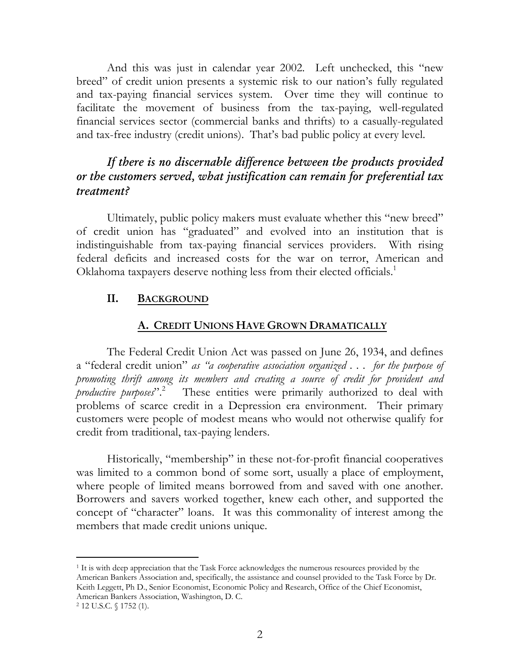And this was just in calendar year 2002. Left unchecked, this "new breed" of credit union presents a systemic risk to our nation's fully regulated and tax-paying financial services system. Over time they will continue to facilitate the movement of business from the tax-paying, well-regulated financial services sector (commercial banks and thrifts) to a casually-regulated and tax-free industry (credit unions). That's bad public policy at every level.

## *If there is no discernable difference between the products provided or the customers served, what justification can remain for preferential tax treatment?*

Ultimately, public policy makers must evaluate whether this "new breed" of credit union has "graduated" and evolved into an institution that is indistinguishable from tax-paying financial services providers. With rising federal deficits and increased costs for the war on terror, American and Oklahoma taxpayers deserve nothing less from their elected officials.<sup>1</sup>

### **II. BACKGROUND**

### **A. CREDIT UNIONS HAVE GROWN DRAMATICALLY**

 The Federal Credit Union Act was passed on June 26, 1934, and defines a "federal credit union" *as "a cooperative association organized . . . for the purpose of promoting thrift among its members and creating a source of credit for provident and productive purposes*".2 These entities were primarily authorized to deal with problems of scarce credit in a Depression era environment. Their primary customers were people of modest means who would not otherwise qualify for credit from traditional, tax-paying lenders.

 Historically, "membership" in these not-for-profit financial cooperatives was limited to a common bond of some sort, usually a place of employment, where people of limited means borrowed from and saved with one another. Borrowers and savers worked together, knew each other, and supported the concept of "character" loans. It was this commonality of interest among the members that made credit unions unique.

<sup>-</sup>1 It is with deep appreciation that the Task Force acknowledges the numerous resources provided by the American Bankers Association and, specifically, the assistance and counsel provided to the Task Force by Dr. Keith Leggett, Ph D., Senior Economist, Economic Policy and Research, Office of the Chief Economist, American Bankers Association, Washington, D. C. <sup>2</sup> 12 U.S.C. § 1752 (1).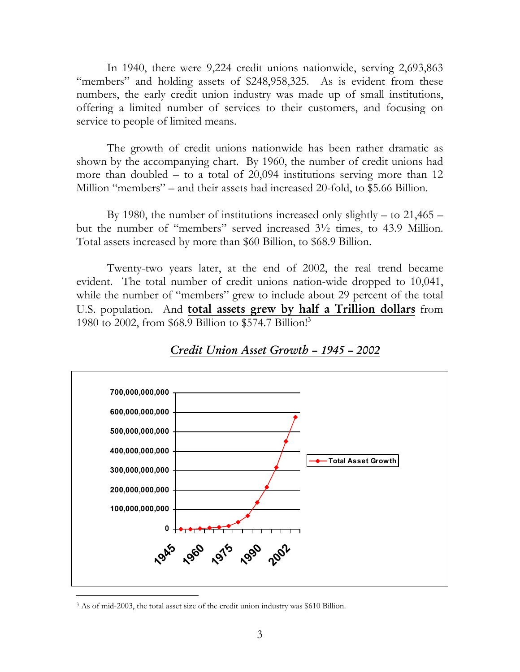In 1940, there were 9,224 credit unions nationwide, serving 2,693,863 "members" and holding assets of \$248,958,325. As is evident from these numbers, the early credit union industry was made up of small institutions, offering a limited number of services to their customers, and focusing on service to people of limited means.

The growth of credit unions nationwide has been rather dramatic as shown by the accompanying chart. By 1960, the number of credit unions had more than doubled – to a total of 20,094 institutions serving more than 12 Million "members" – and their assets had increased 20-fold, to \$5.66 Billion.

By 1980, the number of institutions increased only slightly – to  $21,465$  – but the number of "members" served increased 3½ times, to 43.9 Million. Total assets increased by more than \$60 Billion, to \$68.9 Billion.

Twenty-two years later, at the end of 2002, the real trend became evident. The total number of credit unions nation-wide dropped to 10,041, while the number of "members" grew to include about 29 percent of the total U.S. population. And **total assets grew by half a Trillion dollars** from 1980 to 2002, from \$68.9 Billion to \$574.7 Billion!3



### *Credit Union Asset Growth – 1945 – 2002*

<sup>3</sup> As of mid-2003, the total asset size of the credit union industry was \$610 Billion.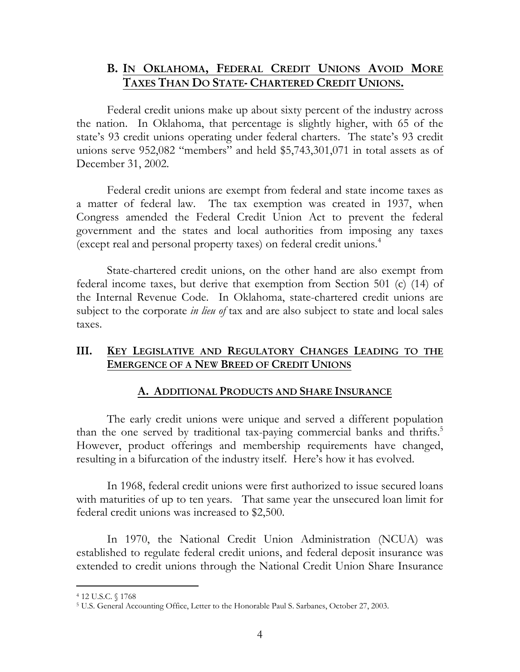## **B. IN OKLAHOMA, FEDERAL CREDIT UNIONS AVOID MORE TAXES THAN DO STATE- CHARTERED CREDIT UNIONS.**

Federal credit unions make up about sixty percent of the industry across the nation. In Oklahoma, that percentage is slightly higher, with 65 of the state's 93 credit unions operating under federal charters. The state's 93 credit unions serve 952,082 "members" and held \$5,743,301,071 in total assets as of December 31, 2002.

Federal credit unions are exempt from federal and state income taxes as a matter of federal law. The tax exemption was created in 1937, when Congress amended the Federal Credit Union Act to prevent the federal government and the states and local authorities from imposing any taxes (except real and personal property taxes) on federal credit unions.4

State-chartered credit unions, on the other hand are also exempt from federal income taxes, but derive that exemption from Section 501 (c) (14) of the Internal Revenue Code. In Oklahoma, state-chartered credit unions are subject to the corporate *in lieu of* tax and are also subject to state and local sales taxes.

### **III. KEY LEGISLATIVE AND REGULATORY CHANGES LEADING TO THE EMERGENCE OF A NEW BREED OF CREDIT UNIONS**

### **A. ADDITIONAL PRODUCTS AND SHARE INSURANCE**

The early credit unions were unique and served a different population than the one served by traditional tax-paying commercial banks and thrifts.<sup>5</sup> However, product offerings and membership requirements have changed, resulting in a bifurcation of the industry itself. Here's how it has evolved.

In 1968, federal credit unions were first authorized to issue secured loans with maturities of up to ten years. That same year the unsecured loan limit for federal credit unions was increased to \$2,500.

In 1970, the National Credit Union Administration (NCUA) was established to regulate federal credit unions, and federal deposit insurance was extended to credit unions through the National Credit Union Share Insurance

<sup>-</sup>4 12 U.S.C. § 1768

<sup>5</sup> U.S. General Accounting Office, Letter to the Honorable Paul S. Sarbanes, October 27, 2003.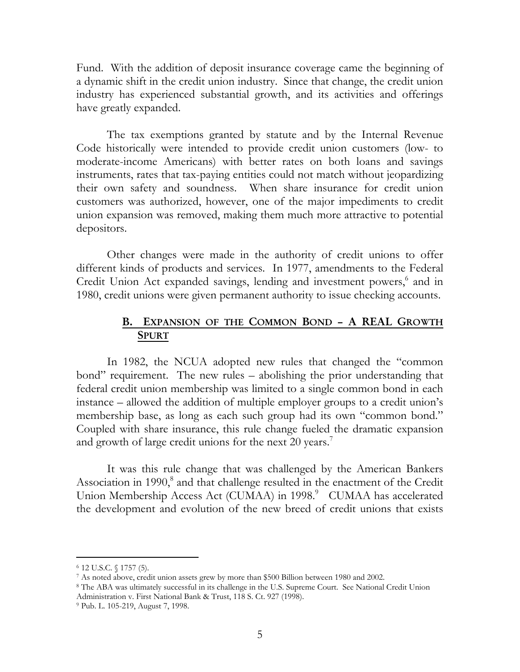Fund. With the addition of deposit insurance coverage came the beginning of a dynamic shift in the credit union industry. Since that change, the credit union industry has experienced substantial growth, and its activities and offerings have greatly expanded.

The tax exemptions granted by statute and by the Internal Revenue Code historically were intended to provide credit union customers (low- to moderate-income Americans) with better rates on both loans and savings instruments, rates that tax-paying entities could not match without jeopardizing their own safety and soundness. When share insurance for credit union customers was authorized, however, one of the major impediments to credit union expansion was removed, making them much more attractive to potential depositors.

Other changes were made in the authority of credit unions to offer different kinds of products and services. In 1977, amendments to the Federal Credit Union Act expanded savings, lending and investment powers,<sup>6</sup> and in 1980, credit unions were given permanent authority to issue checking accounts.

### **B. EXPANSION OF THE COMMON BOND – A REAL GROWTH SPURT**

In 1982, the NCUA adopted new rules that changed the "common bond" requirement. The new rules – abolishing the prior understanding that federal credit union membership was limited to a single common bond in each instance – allowed the addition of multiple employer groups to a credit union's membership base, as long as each such group had its own "common bond." Coupled with share insurance, this rule change fueled the dramatic expansion and growth of large credit unions for the next 20 years.<sup>7</sup>

It was this rule change that was challenged by the American Bankers Association in 1990,<sup>8</sup> and that challenge resulted in the enactment of the Credit Union Membership Access Act (CUMAA) in 1998.<sup>9</sup> CUMAA has accelerated the development and evolution of the new breed of credit unions that exists

-

<sup>6 12</sup> U.S.C. § 1757 (5).

 $^7$  As noted above, credit union assets grew by more than \$500 Billion between 1980 and 2002.<br><sup>8</sup> The ABA was ultimately successful in its challenge in the U.S. Supreme Court. See National Credit Union

Administration v. First National Bank & Trust, 118 S. Ct. 927 (1998).<br><sup>9</sup> Pub. L. 105-219, August 7, 1998.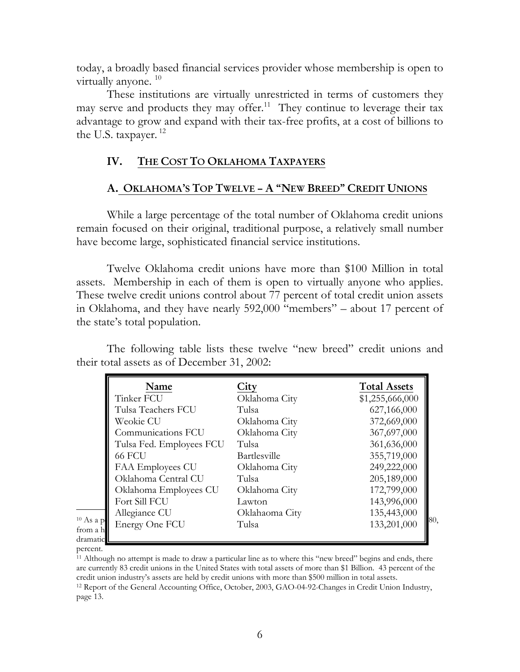today, a broadly based financial services provider whose membership is open to virtually anyone.<sup>10</sup>

These institutions are virtually unrestricted in terms of customers they may serve and products they may offer.<sup>11</sup> They continue to leverage their tax advantage to grow and expand with their tax-free profits, at a cost of billions to the U.S. taxpayer.<sup>12</sup>

### **IV. THE COST TO OKLAHOMA TAXPAYERS**

### **A. OKLAHOMA'S TOP TWELVE – A "NEW BREED" CREDIT UNIONS**

 While a large percentage of the total number of Oklahoma credit unions remain focused on their original, traditional purpose, a relatively small number have become large, sophisticated financial service institutions.

Twelve Oklahoma credit unions have more than \$100 Million in total assets. Membership in each of them is open to virtually anyone who applies. These twelve credit unions control about 77 percent of total credit union assets in Oklahoma, and they have nearly 592,000 "members" – about 17 percent of the state's total population.

The following table lists these twelve "new breed" credit unions and their total assets as of December 31, 2002:

|                      | Name                     | City                | <b>Total Assets</b> |
|----------------------|--------------------------|---------------------|---------------------|
|                      | Tinker FCU               | Oklahoma City       | \$1,255,666,000     |
|                      | Tulsa Teachers FCU       | Tulsa               | 627,166,000         |
|                      | Weokie CU                | Oklahoma City       | 372,669,000         |
|                      | Communications FCU       | Oklahoma City       | 367,697,000         |
|                      | Tulsa Fed. Employees FCU | Tulsa               | 361,636,000         |
|                      | <b>66 FCU</b>            | <b>Bartlesville</b> | 355,719,000         |
|                      | FAA Employees CU         | Oklahoma City       | 249,222,000         |
|                      | Oklahoma Central CU      | Tulsa               | 205,189,000         |
|                      | Oklahoma Employees CU    | Oklahoma City       | 172,799,000         |
|                      | Fort Sill FCU            | Lawton              | 143,996,000         |
|                      | Allegiance CU            | Oklahaoma City      | 135,443,000         |
| $10$ As a p          | Energy One FCU           | Tulsa               | 80,<br>133,201,000  |
| from a h<br>dramatic |                          |                     |                     |

percent.

<sup>11</sup> Although no attempt is made to draw a particular line as to where this "new breed" begins and ends, there are currently 83 credit unions in the United States with total assets of more than \$1 Billion. 43 percent of the credit union industry's assets are held by credit unions with more than \$500 million in total assets. 12 Report of the General Accounting Office, October, 2003, GAO-04-92-Changes in Credit Union Industry,

page 13.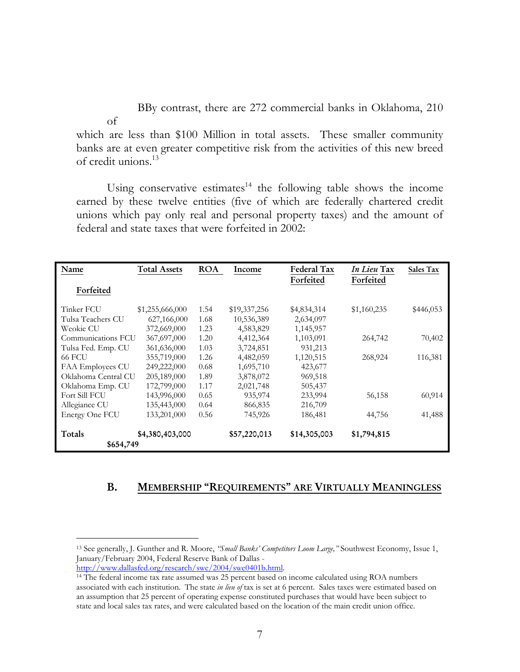BBy contrast, there are 272 commercial banks in Oklahoma, 210

of which are less than \$100 Million in total assets. These smaller community banks are at even greater competitive risk from the activities of this new breed of credit unions.13

Using conservative estimates $14$  the following table shows the income earned by these twelve entities (five of which are federally chartered credit unions which pay only real and personal property taxes) and the amount of federal and state taxes that were forfeited in 2002:

| Name                | <b>Total Assets</b> | <b>ROA</b> | Income       | Federal Tax  | In Lieu Tax | Sales Tax |
|---------------------|---------------------|------------|--------------|--------------|-------------|-----------|
| Forfeited           |                     |            |              | Forfeited    | Forfeited   |           |
| Tinker FCU          | \$1,255,666,000     | 1.54       | \$19,337,256 | \$4,834,314  | \$1,160,235 | \$446,053 |
| Tulsa Teachers CU   | 627,166,000         | 1.68       | 10,536,389   | 2,634,097    |             |           |
| Weokie CU           | 372,669,000         | 1.23       | 4,583,829    | 1,145,957    |             |           |
| Communications FCU  | 367,697,000         | 1.20       | 4,412,364    | 1,103,091    | 264,742     | 70,402    |
| Tulsa Fed. Emp. CU  | 361,636,000         | 1.03       | 3,724,851    | 931,213      |             |           |
| 66 FCU              | 355,719,000         | 1.26       | 4,482,059    | 1,120,515    | 268,924     | 116,381   |
| FAA Employees CU    | 249,222,000         | 0.68       | 1,695,710    | 423,677      |             |           |
| Oklahoma Central CU | 205,189,000         | 1.89       | 3,878,072    | 969,518      |             |           |
| Oklahoma Emp. CU    | 172,799,000         | 1.17       | 2,021,748    | 505,437      |             |           |
| Fort Sill FCU       | 143,996,000         | 0.65       | 935,974      | 233,994      | 56,158      | 60,914    |
| Allegiance CU       | 135,443,000         | 0.64       | 866,835      | 216,709      |             |           |
| Energy One FCU      | 133,201,000         | 0.56       | 745,926      | 186,481      | 44,756      | 41,488    |
| Totals              | \$4,380,403,000     |            | \$57,220,013 | \$14,305,003 | \$1,794,815 |           |
| \$654,749           |                     |            |              |              |             |           |

### **B. MEMBERSHIP "REQUIREMENTS" ARE VIRTUALLY MEANINGLESS**

 $\overline{a}$ 

<sup>13</sup> See generally, J. Gunther and R. Moore, *"Small Banks' Competitors Loom Large,"* Southwest Economy, Issue 1, January/February 2004, Federal Reserve Bank of Dallas -<br>http://www.dallasfed.org/research/swe/2004/swe0401b.html.

<sup>&</sup>lt;sup>14</sup> The federal income tax rate assumed was 25 percent based on income calculated using ROA numbers associated with each institution. The state *in lieu of* tax is set at 6 percent. Sales taxes were estimated based on an assumption that 25 percent of operating expense constituted purchases that would have been subject to state and local sales tax rates, and were calculated based on the location of the main credit union office.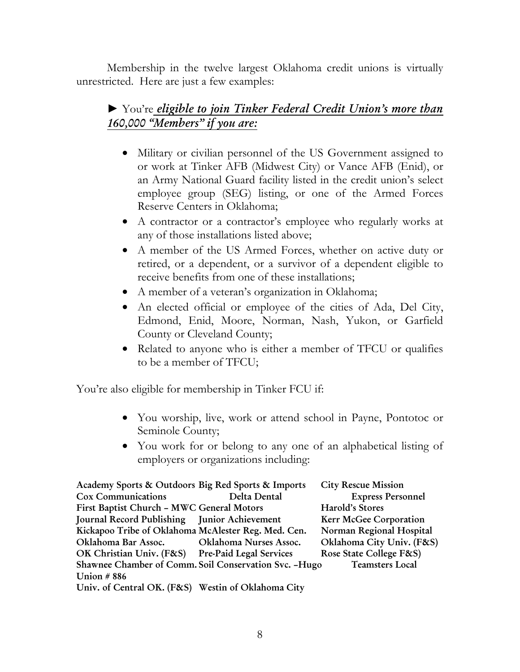Membership in the twelve largest Oklahoma credit unions is virtually unrestricted. Here are just a few examples:

# ► You're *eligible to join Tinker Federal Credit Union's more than 160,000 "Members" if you are:*

- Military or civilian personnel of the US Government assigned to or work at Tinker AFB (Midwest City) or Vance AFB (Enid), or an Army National Guard facility listed in the credit union's select employee group (SEG) listing, or one of the Armed Forces Reserve Centers in Oklahoma;
- A contractor or a contractor's employee who regularly works at any of those installations listed above;
- A member of the US Armed Forces, whether on active duty or retired, or a dependent, or a survivor of a dependent eligible to receive benefits from one of these installations;
- A member of a veteran's organization in Oklahoma;
- An elected official or employee of the cities of Ada, Del City, Edmond, Enid, Moore, Norman, Nash, Yukon, or Garfield County or Cleveland County;
- Related to anyone who is either a member of TFCU or qualifies to be a member of TFCU;

You're also eligible for membership in Tinker FCU if:

- You worship, live, work or attend school in Payne, Pontotoc or Seminole County;
- You work for or belong to any one of an alphabetical listing of employers or organizations including:

| Academy Sports & Outdoors Big Red Sports & Imports  |                                                        | <b>City Rescue Mission</b> |
|-----------------------------------------------------|--------------------------------------------------------|----------------------------|
| <b>Cox Communications</b>                           | Delta Dental                                           | <b>Express Personnel</b>   |
| First Baptist Church - MWC General Motors           |                                                        | Harold's Stores            |
| Journal Record Publishing Junior Achievement        |                                                        | Kerr McGee Corporation     |
| Kickapoo Tribe of Oklahoma McAlester Reg. Med. Cen. |                                                        | Norman Regional Hospital   |
| Oklahoma Bar Assoc.                                 | Oklahoma Nurses Assoc.                                 | Oklahoma City Univ. (F&S)  |
| OK Christian Univ. (F&S) Pre-Paid Legal Services    |                                                        | Rose State College F&S)    |
|                                                     | Shawnee Chamber of Comm. Soil Conservation Svc. - Hugo | <b>Teamsters Local</b>     |
| Union $#886$                                        |                                                        |                            |
| Univ. of Central OK. (F&S) Westin of Oklahoma City  |                                                        |                            |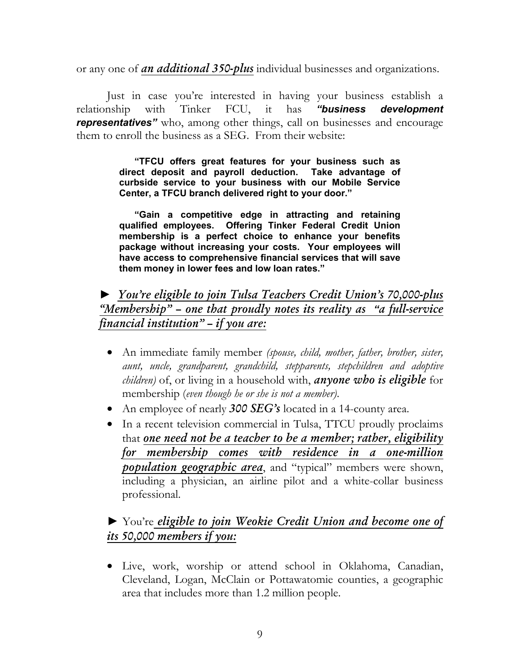or any one of *an additional 350-plus* individual businesses and organizations.

Just in case you're interested in having your business establish a relationship with Tinker FCU, it has *"business development representatives"* who, among other things, call on businesses and encourage them to enroll the business as a SEG. From their website:

> **"TFCU offers great features for your business such as direct deposit and payroll deduction. Take advantage of curbside service to your business with our Mobile Service Center, a TFCU branch delivered right to your door."**

> **"Gain a competitive edge in attracting and retaining qualified employees. Offering Tinker Federal Credit Union membership is a perfect choice to enhance your benefits package without increasing your costs. Your employees will have access to comprehensive financial services that will save them money in lower fees and low loan rates."**

► *You're eligible to join Tulsa Teachers Credit Union's 70,000-plus "Membership" – one that proudly notes its reality as "a full-service financial institution" – if you are:*

- An immediate family member *(spouse, child, mother, father, brother, sister, aunt, uncle, grandparent, grandchild, stepparents, stepchildren and adoptive children)* of, or living in a household with, *anyone who is eligible* for membership (*even though he or she is not a member)*.
- An employee of nearly **300 SEG's** located in a 14-county area.
- In a recent television commercial in Tulsa, TTCU proudly proclaims that *one need not be a teacher to be a member; rather, eligibility for membership comes with residence in a one-million population geographic area*, and "typical" members were shown, including a physician, an airline pilot and a white-collar business professional.

# ► You're *eligible to join Weokie Credit Union and become one of its 50,000 members if you:*

• Live, work, worship or attend school in Oklahoma, Canadian, Cleveland, Logan, McClain or Pottawatomie counties, a geographic area that includes more than 1.2 million people.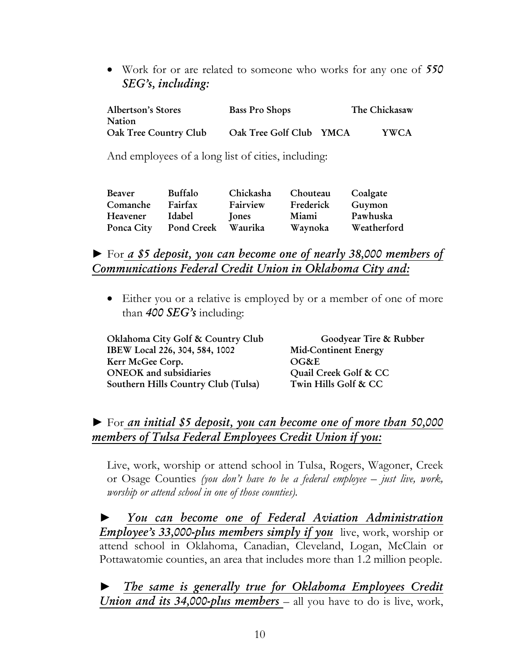• Work for or are related to someone who works for any one of *550 SEG's, including:*

| <b>Albertson's Stores</b> | <b>Bass Pro Shops</b>   | The Chickasaw |      |
|---------------------------|-------------------------|---------------|------|
| Nation                    |                         |               |      |
| Oak Tree Country Club     | Oak Tree Golf Club YMCA |               | YWCA |

And employees of a long list of cities, including:

| Beaver     | Buffalo    | Chickasha    | Chouteau  | Coalgate    |
|------------|------------|--------------|-----------|-------------|
| Comanche   | Fairfax    | Fairview     | Frederick | Guymon      |
| Heavener   | Idabel     | <b>Jones</b> | Miami     | Pawhuska    |
| Ponca City | Pond Creek | Waurika      | Waynoka   | Weatherford |

## ► For *a \$5 deposit, you can become one of nearly 38,000 members of Communications Federal Credit Union in Oklahoma City and:*

• Either you or a relative is employed by or a member of one of more than *400 SEG's* including:

| Oklahoma City Golf & Country Club   | Goodyear Tire & Rubber      |
|-------------------------------------|-----------------------------|
| IBEW Local 226, 304, 584, 1002      | <b>Mid-Continent Energy</b> |
| Kerr McGee Corp.                    | OG&E                        |
| <b>ONEOK</b> and subsidiaries       | Quail Creek Golf & CC       |
| Southern Hills Country Club (Tulsa) | Twin Hills Golf & CC        |

# ► For *an initial \$5 deposit, you can become one of more than 50,000 members of Tulsa Federal Employees Credit Union if you:*

Live, work, worship or attend school in Tulsa, Rogers, Wagoner, Creek or Osage Counties *(you don't have to be a federal employee – just live, work, worship or attend school in one of those counties).*

► *You can become one of Federal Aviation Administration Employee's 33,000-plus members simply if you* live, work, worship or attend school in Oklahoma, Canadian, Cleveland, Logan, McClain or Pottawatomie counties, an area that includes more than 1.2 million people.

► *The same is generally true for Oklahoma Employees Credit Union and its 34,000-plus members* – all you have to do is live, work,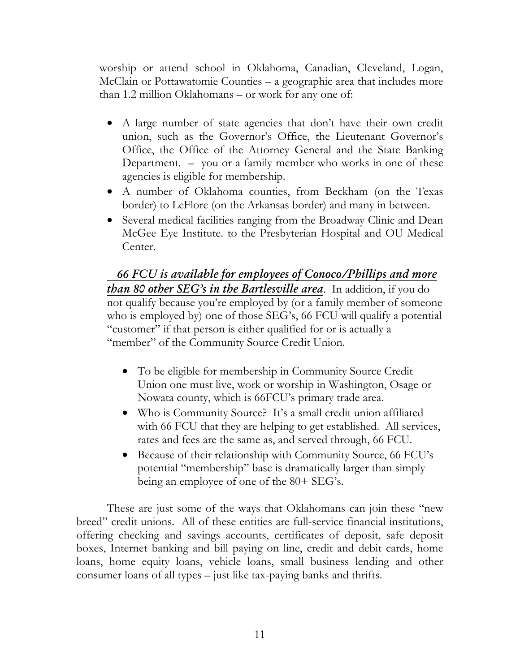worship or attend school in Oklahoma, Canadian, Cleveland, Logan, McClain or Pottawatomie Counties – a geographic area that includes more than 1.2 million Oklahomans – or work for any one of:

- A large number of state agencies that don't have their own credit union, such as the Governor's Office, the Lieutenant Governor's Office, the Office of the Attorney General and the State Banking Department. – you or a family member who works in one of these agencies is eligible for membership.
- A number of Oklahoma counties, from Beckham (on the Texas border) to LeFlore (on the Arkansas border) and many in between.
- Several medical facilities ranging from the Broadway Clinic and Dean McGee Eye Institute. to the Presbyterian Hospital and OU Medical Center.

 *66 FCU is available for employees of Conoco/Phillips and more than 80 other SEG's in the Bartlesville area*. In addition, if you do not qualify because you're employed by (or a family member of someone who is employed by) one of those SEG's, 66 FCU will qualify a potential "customer" if that person is either qualified for or is actually a "member" of the Community Source Credit Union.

- To be eligible for membership in Community Source Credit Union one must live, work or worship in Washington, Osage or Nowata county, which is 66FCU's primary trade area.
- Who is Community Source? It's a small credit union affiliated with 66 FCU that they are helping to get established. All services, rates and fees are the same as, and served through, 66 FCU.
- Because of their relationship with Community Source, 66 FCU's potential "membership" base is dramatically larger than simply being an employee of one of the 80+ SEG's.

These are just some of the ways that Oklahomans can join these "new breed" credit unions. All of these entities are full-service financial institutions, offering checking and savings accounts, certificates of deposit, safe deposit boxes, Internet banking and bill paying on line, credit and debit cards, home loans, home equity loans, vehicle loans, small business lending and other consumer loans of all types – just like tax-paying banks and thrifts.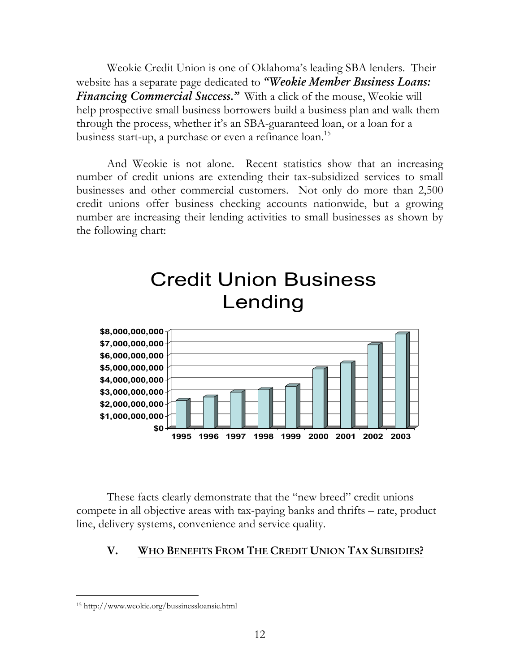Weokie Credit Union is one of Oklahoma's leading SBA lenders. Their website has a separate page dedicated to *"Weokie Member Business Loans: Financing Commercial Success."* With a click of the mouse, Weokie will help prospective small business borrowers build a business plan and walk them through the process, whether it's an SBA-guaranteed loan, or a loan for a business start-up, a purchase or even a refinance loan.<sup>15</sup>

And Weokie is not alone. Recent statistics show that an increasing number of credit unions are extending their tax-subsidized services to small businesses and other commercial customers. Not only do more than 2,500 credit unions offer business checking accounts nationwide, but a growing number are increasing their lending activities to small businesses as shown by the following chart:



These facts clearly demonstrate that the "new breed" credit unions compete in all objective areas with tax-paying banks and thrifts – rate, product line, delivery systems, convenience and service quality.

### **V. WHO BENEFITS FROM THE CREDIT UNION TAX SUBSIDIES?**

 $\overline{a}$ 

<sup>15</sup> http://www.weokie.org/bussinessloansie.html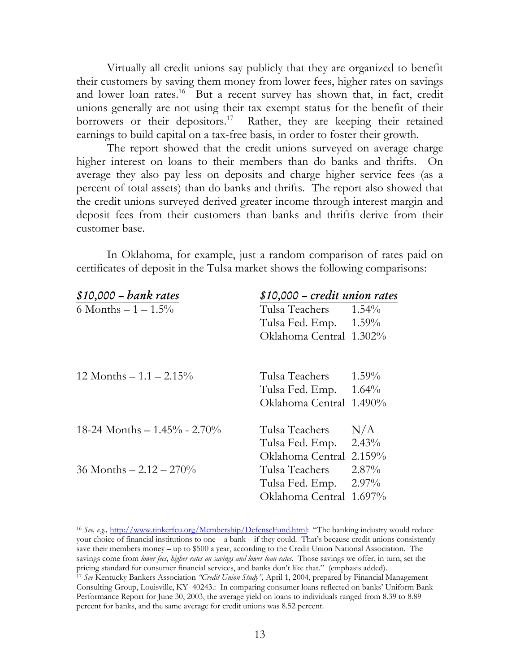Virtually all credit unions say publicly that they are organized to benefit their customers by saving them money from lower fees, higher rates on savings and lower loan rates.<sup>16</sup> But a recent survey has shown that, in fact, credit unions generally are not using their tax exempt status for the benefit of their borrowers or their depositors.<sup>17</sup> Rather, they are keeping their retained earnings to build capital on a tax-free basis, in order to foster their growth.

The report showed that the credit unions surveyed on average charge higher interest on loans to their members than do banks and thrifts. On average they also pay less on deposits and charge higher service fees (as a percent of total assets) than do banks and thrifts. The report also showed that the credit unions surveyed derived greater income through interest margin and deposit fees from their customers than banks and thrifts derive from their customer base.

In Oklahoma, for example, just a random comparison of rates paid on certificates of deposit in the Tulsa market shows the following comparisons:

| $$10,000 - bank rates$          |                         | \$10,000 - credit union rates |  |  |
|---------------------------------|-------------------------|-------------------------------|--|--|
| 6 Months $-1 - 1.5\%$           | Tulsa Teachers          | $1.54\%$                      |  |  |
|                                 | Tulsa Fed. Emp. 1.59%   |                               |  |  |
|                                 | Oklahoma Central 1.302% |                               |  |  |
|                                 |                         |                               |  |  |
| 12 Months $-1.1 - 2.15\%$       | Tulsa Teachers          | $1.59\%$                      |  |  |
|                                 | Tulsa Fed. Emp.         | $1.64\%$                      |  |  |
|                                 | Oklahoma Central 1.490% |                               |  |  |
| 18-24 Months $- 1.45\%$ - 2.70% | Tulsa Teachers          | N/A                           |  |  |
|                                 | Tulsa Fed. Emp.         | 2.43%                         |  |  |
|                                 | Oklahoma Central        | 2.159%                        |  |  |
| 36 Months $-2.12 - 270\%$       | Tulsa Teachers          | $2.87\%$                      |  |  |
|                                 | Tulsa Fed. Emp.         | $2.97\%$                      |  |  |
|                                 | Oklahoma Central 1.697% |                               |  |  |

-

<sup>16</sup> *See, e.g.,* http://www.tinkerfcu.org/Membership/DefenseFund.html: "The banking industry would reduce your choice of financial institutions to one – a bank – if they could. That's because credit unions consistently save their members money – up to \$500 a year, according to the Credit Union National Association. The savings come from *lower fees, higher rates on savings and lower loan rates*. Those savings we offer, in turn, set the pricing standard for consumer financial services, and banks don't like that." (emphasis added). 17 *See* Kentucky Bankers Association *"Credit Union Study",* April 1, 2004, prepared by Financial Management

Consulting Group, Louisville, KY 40243.: In comparing consumer loans reflected on banks' Uniform Bank Performance Report for June 30, 2003, the average yield on loans to individuals ranged from 8.39 to 8.89 percent for banks, and the same average for credit unions was 8.52 percent.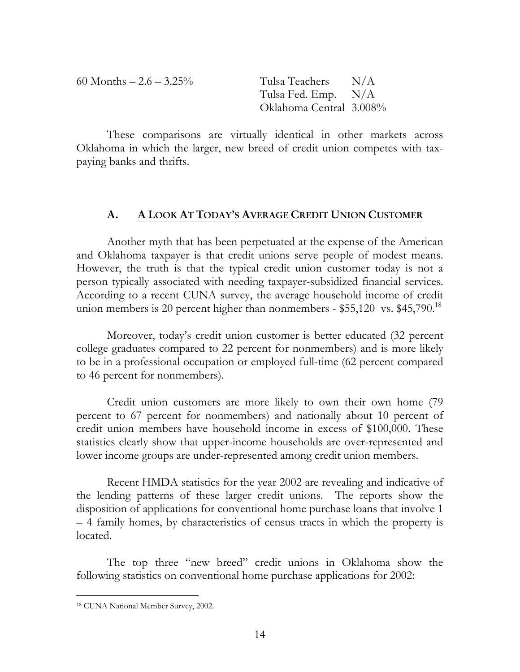60 Months  $-2.6 - 3.25\%$  Tulsa Teachers N/A

 Tulsa Fed. Emp. N/A Oklahoma Central 3.008%

These comparisons are virtually identical in other markets across Oklahoma in which the larger, new breed of credit union competes with taxpaying banks and thrifts.

### **A. A LOOK AT TODAY'S AVERAGE CREDIT UNION CUSTOMER**

 Another myth that has been perpetuated at the expense of the American and Oklahoma taxpayer is that credit unions serve people of modest means. However, the truth is that the typical credit union customer today is not a person typically associated with needing taxpayer-subsidized financial services. According to a recent CUNA survey, the average household income of credit union members is 20 percent higher than nonmembers -  $$55,120$  vs.  $$45,790$ .<sup>18</sup>

Moreover, today's credit union customer is better educated (32 percent college graduates compared to 22 percent for nonmembers) and is more likely to be in a professional occupation or employed full-time (62 percent compared to 46 percent for nonmembers).

Credit union customers are more likely to own their own home (79 percent to 67 percent for nonmembers) and nationally about 10 percent of credit union members have household income in excess of \$100,000. These statistics clearly show that upper-income households are over-represented and lower income groups are under-represented among credit union members.

Recent HMDA statistics for the year 2002 are revealing and indicative of the lending patterns of these larger credit unions. The reports show the disposition of applications for conventional home purchase loans that involve 1 – 4 family homes, by characteristics of census tracts in which the property is located.

The top three "new breed" credit unions in Oklahoma show the following statistics on conventional home purchase applications for 2002:

<sup>-</sup>18 CUNA National Member Survey, 2002.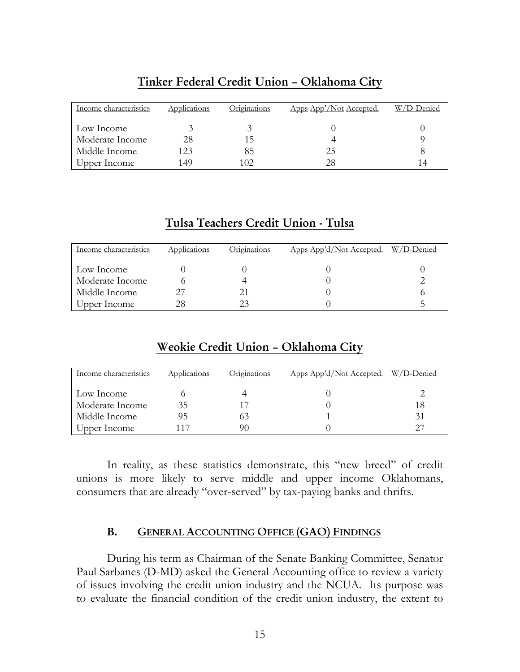| Income characteristics | Applications | Originations | Apps App'/Not Accepted. | W/D-Denied |
|------------------------|--------------|--------------|-------------------------|------------|
| Low Income             |              |              |                         |            |
| Moderate Income        | 28           | 15.          |                         |            |
| Middle Income          | 123          | 85           | 25                      |            |
| Upper Income           | 149          | 102          | 28                      | 14         |

### **Tinker Federal Credit Union – Oklahoma City**

### **Tulsa Teachers Credit Union - Tulsa**

| Income characteristics | Applications | Originations | Apps App'd/Not Accepted. W/D-Denied |  |
|------------------------|--------------|--------------|-------------------------------------|--|
| Low Income             |              |              |                                     |  |
| Moderate Income        |              |              |                                     |  |
| Middle Income          |              | 21           |                                     |  |
| Upper Income           | 28           | 23           |                                     |  |

## **Weokie Credit Union – Oklahoma City**

| Income characteristics | <b>Applications</b> | <u>Originations</u> | Apps App'd/Not Accepted. W/D-Denied |    |
|------------------------|---------------------|---------------------|-------------------------------------|----|
| Low Income             |                     |                     |                                     |    |
| Moderate Income        | 35                  |                     |                                     | 18 |
| Middle Income          | 95                  |                     |                                     | 31 |
| Upper Income           |                     | 90                  |                                     | クフ |

In reality, as these statistics demonstrate, this "new breed" of credit unions is more likely to serve middle and upper income Oklahomans, consumers that are already "over-served" by tax-paying banks and thrifts.

### **B. GENERAL ACCOUNTING OFFICE (GAO) FINDINGS**

 During his term as Chairman of the Senate Banking Committee, Senator Paul Sarbanes (D-MD) asked the General Accounting office to review a variety of issues involving the credit union industry and the NCUA. Its purpose was to evaluate the financial condition of the credit union industry, the extent to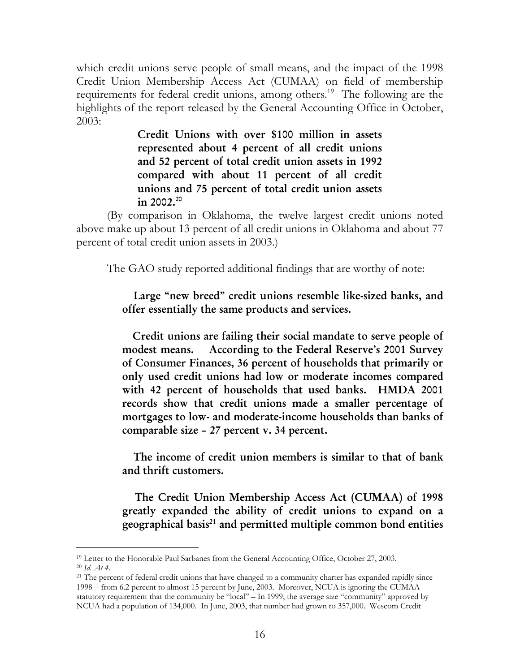which credit unions serve people of small means, and the impact of the 1998 Credit Union Membership Access Act (CUMAA) on field of membership requirements for federal credit unions, among others.<sup>19</sup> The following are the highlights of the report released by the General Accounting Office in October, 2003:

> **Credit Unions with over \$100 million in assets represented about 4 percent of all credit unions and 52 percent of total credit union assets in 1992 compared with about 11 percent of all credit unions and 75 percent of total credit union assets in 2002.20**

(By comparison in Oklahoma, the twelve largest credit unions noted above make up about 13 percent of all credit unions in Oklahoma and about 77 percent of total credit union assets in 2003.)

The GAO study reported additional findings that are worthy of note:

### **Large "new breed" credit unions resemble like-sized banks, and offer essentially the same products and services.**

 **Credit unions are failing their social mandate to serve people of modest means. According to the Federal Reserve's 2001 Survey of Consumer Finances, 36 percent of households that primarily or only used credit unions had low or moderate incomes compared with 42 percent of households that used banks. HMDA 2001 records show that credit unions made a smaller percentage of mortgages to low- and moderate-income households than banks of comparable size – 27 percent v. 34 percent.** 

 **The income of credit union members is similar to that of bank and thrift customers.** 

 **The Credit Union Membership Access Act (CUMAA) of 1998 greatly expanded the ability of credit unions to expand on a geographical basis21 and permitted multiple common bond entities** 

 $\overline{a}$ <sup>19</sup> Letter to the Honorable Paul Sarbanes from the General Accounting Office, October 27, 2003.<br><sup>20</sup> *Id. At 4*.

<sup>&</sup>lt;sup>21</sup> The percent of federal credit unions that have changed to a community charter has expanded rapidly since 1998 – from 6.2 percent to almost 15 percent by June, 2003. Moreover, NCUA is ignoring the CUMAA statutory requirement that the community be "local" – In 1999, the average size "community" approved by NCUA had a population of 134,000. In June, 2003, that number had grown to 357,000. Wescom Credit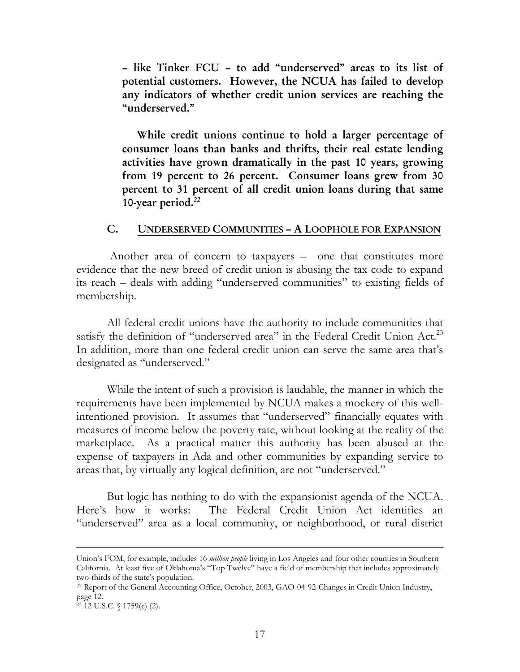**– like Tinker FCU – to add "underserved" areas to its list of potential customers. However, the NCUA has failed to develop any indicators of whether credit union services are reaching the "underserved."** 

 **While credit unions continue to hold a larger percentage of consumer loans than banks and thrifts, their real estate lending activities have grown dramatically in the past 10 years, growing from 19 percent to 26 percent. Consumer loans grew from 30 percent to 31 percent of all credit union loans during that same 10-year period.22**

#### **C. UNDERSERVED COMMUNITIES – A LOOPHOLE FOR EXPANSION**

 Another area of concern to taxpayers – one that constitutes more evidence that the new breed of credit union is abusing the tax code to expand its reach – deals with adding "underserved communities" to existing fields of membership.

All federal credit unions have the authority to include communities that satisfy the definition of "underserved area" in the Federal Credit Union Act.<sup>23</sup> In addition, more than one federal credit union can serve the same area that's designated as "underserved."

 While the intent of such a provision is laudable, the manner in which the requirements have been implemented by NCUA makes a mockery of this wellintentioned provision. It assumes that "underserved" financially equates with measures of income below the poverty rate, without looking at the reality of the marketplace. As a practical matter this authority has been abused at the expense of taxpayers in Ada and other communities by expanding service to areas that, by virtually any logical definition, are not "underserved."

But logic has nothing to do with the expansionist agenda of the NCUA. Here's how it works: The Federal Credit Union Act identifies an "underserved" area as a local community, or neighborhood, or rural district

-

Union's FOM, for example, includes 16 *million people* living in Los Angeles and four other counties in Southern California. At least five of Oklahoma's "Top Twelve" have a field of membership that includes approximately two-thirds of the state's population.

<sup>22</sup> Report of the General Accounting Office, October, 2003, GAO-04-92-Changes in Credit Union Industry, page 12.

<sup>23 12</sup> U.S.C. § 1759(c) (2).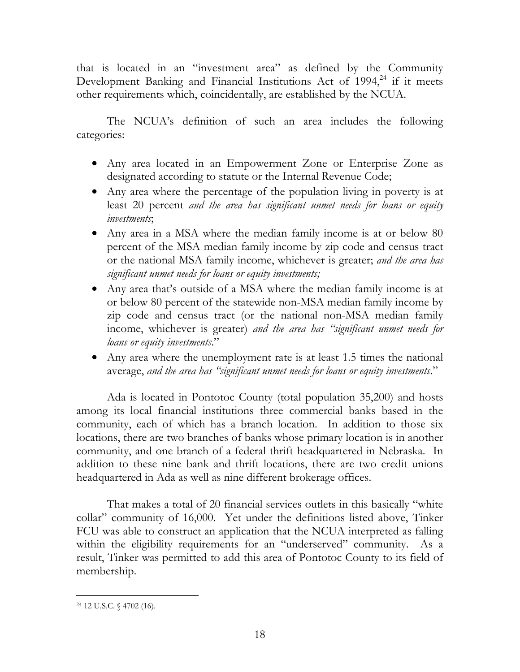that is located in an "investment area" as defined by the Community Development Banking and Financial Institutions Act of  $1994<sup>24</sup>$  if it meets other requirements which, coincidentally, are established by the NCUA.

 The NCUA's definition of such an area includes the following categories:

- Any area located in an Empowerment Zone or Enterprise Zone as designated according to statute or the Internal Revenue Code;
- Any area where the percentage of the population living in poverty is at least 20 percent *and the area has significant unmet needs for loans or equity investments*;
- Any area in a MSA where the median family income is at or below 80 percent of the MSA median family income by zip code and census tract or the national MSA family income, whichever is greater; *and the area has significant unmet needs for loans or equity investments;*
- Any area that's outside of a MSA where the median family income is at or below 80 percent of the statewide non-MSA median family income by zip code and census tract (or the national non-MSA median family income, whichever is greater) *and the area has "significant unmet needs for loans or equity investments*."
- Any area where the unemployment rate is at least 1.5 times the national average, *and the area has "significant unmet needs for loans or equity investments*."

Ada is located in Pontotoc County (total population 35,200) and hosts among its local financial institutions three commercial banks based in the community, each of which has a branch location. In addition to those six locations, there are two branches of banks whose primary location is in another community, and one branch of a federal thrift headquartered in Nebraska. In addition to these nine bank and thrift locations, there are two credit unions headquartered in Ada as well as nine different brokerage offices.

That makes a total of 20 financial services outlets in this basically "white collar" community of 16,000. Yet under the definitions listed above, Tinker FCU was able to construct an application that the NCUA interpreted as falling within the eligibility requirements for an "underserved" community. As a result, Tinker was permitted to add this area of Pontotoc County to its field of membership.

<sup>-</sup>24 12 U.S.C. § 4702 (16).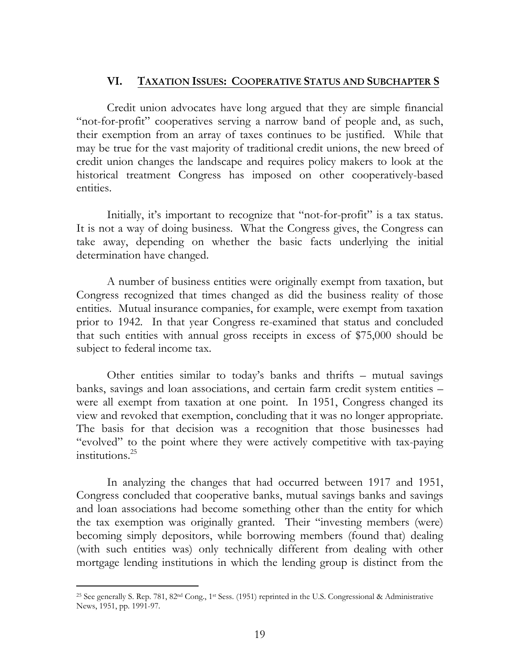#### **VI. TAXATION ISSUES: COOPERATIVE STATUS AND SUBCHAPTER S**

 Credit union advocates have long argued that they are simple financial "not-for-profit" cooperatives serving a narrow band of people and, as such, their exemption from an array of taxes continues to be justified. While that may be true for the vast majority of traditional credit unions, the new breed of credit union changes the landscape and requires policy makers to look at the historical treatment Congress has imposed on other cooperatively-based entities.

Initially, it's important to recognize that "not-for-profit" is a tax status. It is not a way of doing business. What the Congress gives, the Congress can take away, depending on whether the basic facts underlying the initial determination have changed.

A number of business entities were originally exempt from taxation, but Congress recognized that times changed as did the business reality of those entities. Mutual insurance companies, for example, were exempt from taxation prior to 1942. In that year Congress re-examined that status and concluded that such entities with annual gross receipts in excess of \$75,000 should be subject to federal income tax.

Other entities similar to today's banks and thrifts – mutual savings banks, savings and loan associations, and certain farm credit system entities – were all exempt from taxation at one point. In 1951, Congress changed its view and revoked that exemption, concluding that it was no longer appropriate. The basis for that decision was a recognition that those businesses had "evolved" to the point where they were actively competitive with tax-paying institutions.25

 In analyzing the changes that had occurred between 1917 and 1951, Congress concluded that cooperative banks, mutual savings banks and savings and loan associations had become something other than the entity for which the tax exemption was originally granted. Their "investing members (were) becoming simply depositors, while borrowing members (found that) dealing (with such entities was) only technically different from dealing with other mortgage lending institutions in which the lending group is distinct from the

<sup>-</sup>25 See generally S. Rep. 781, 82nd Cong., 1st Sess. (1951) reprinted in the U.S. Congressional & Administrative News, 1951, pp. 1991-97.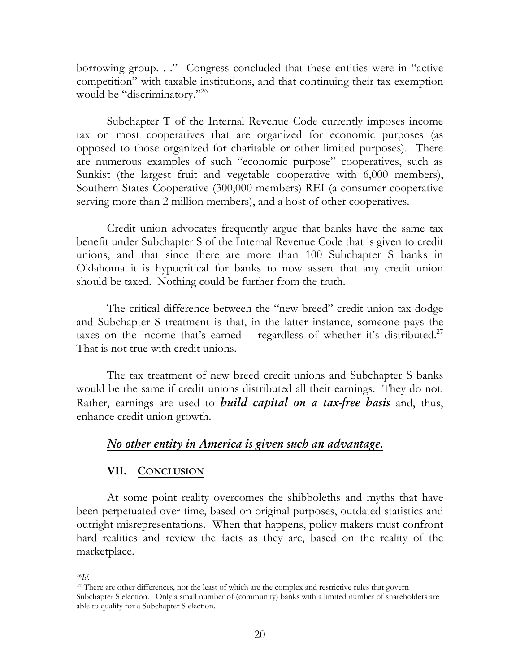borrowing group. . ." Congress concluded that these entities were in "active competition" with taxable institutions, and that continuing their tax exemption would be "discriminatory."<sup>26</sup>

 Subchapter T of the Internal Revenue Code currently imposes income tax on most cooperatives that are organized for economic purposes (as opposed to those organized for charitable or other limited purposes). There are numerous examples of such "economic purpose" cooperatives, such as Sunkist (the largest fruit and vegetable cooperative with 6,000 members), Southern States Cooperative (300,000 members) REI (a consumer cooperative serving more than 2 million members), and a host of other cooperatives.

Credit union advocates frequently argue that banks have the same tax benefit under Subchapter S of the Internal Revenue Code that is given to credit unions, and that since there are more than 100 Subchapter S banks in Oklahoma it is hypocritical for banks to now assert that any credit union should be taxed. Nothing could be further from the truth.

 The critical difference between the "new breed" credit union tax dodge and Subchapter S treatment is that, in the latter instance, someone pays the taxes on the income that's earned – regardless of whether it's distributed.<sup>27</sup> That is not true with credit unions.

The tax treatment of new breed credit unions and Subchapter S banks would be the same if credit unions distributed all their earnings. They do not. Rather, earnings are used to *build capital on a tax-free basis* and, thus, enhance credit union growth.

## *No other entity in America is given such an advantage.*

### **VII. CONCLUSION**

 At some point reality overcomes the shibboleths and myths that have been perpetuated over time, based on original purposes, outdated statistics and outright misrepresentations. When that happens, policy makers must confront hard realities and review the facts as they are, based on the reality of the marketplace.

 $\overline{a}$ <sup>26</sup>*Id.* 

<sup>&</sup>lt;sup>27</sup> There are other differences, not the least of which are the complex and restrictive rules that govern Subchapter S election. Only a small number of (community) banks with a limited number of shareholders are able to qualify for a Subchapter S election.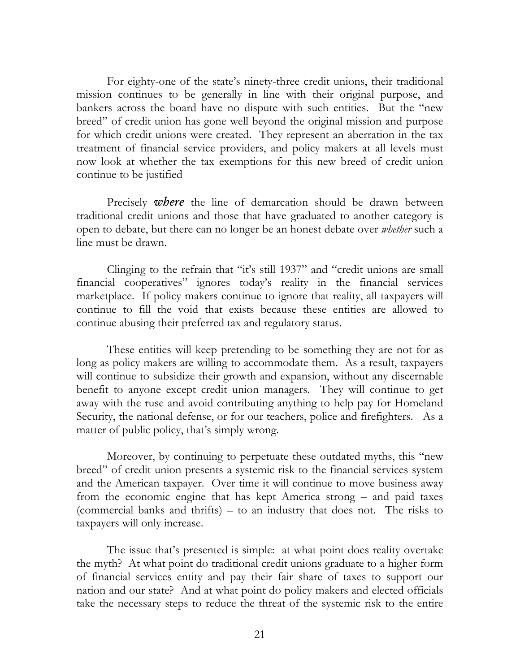For eighty-one of the state's ninety-three credit unions, their traditional mission continues to be generally in line with their original purpose, and bankers across the board have no dispute with such entities. But the "new breed" of credit union has gone well beyond the original mission and purpose for which credit unions were created. They represent an aberration in the tax treatment of financial service providers, and policy makers at all levels must now look at whether the tax exemptions for this new breed of credit union continue to be justified

Precisely *where* the line of demarcation should be drawn between traditional credit unions and those that have graduated to another category is open to debate, but there can no longer be an honest debate over *whether* such a line must be drawn.

Clinging to the refrain that "it's still 1937" and "credit unions are small financial cooperatives" ignores today's reality in the financial services marketplace. If policy makers continue to ignore that reality, all taxpayers will continue to fill the void that exists because these entities are allowed to continue abusing their preferred tax and regulatory status.

These entities will keep pretending to be something they are not for as long as policy makers are willing to accommodate them. As a result, taxpayers will continue to subsidize their growth and expansion, without any discernable benefit to anyone except credit union managers. They will continue to get away with the ruse and avoid contributing anything to help pay for Homeland Security, the national defense, or for our teachers, police and firefighters. As a matter of public policy, that's simply wrong.

Moreover, by continuing to perpetuate these outdated myths, this "new breed" of credit union presents a systemic risk to the financial services system and the American taxpayer. Over time it will continue to move business away from the economic engine that has kept America strong – and paid taxes (commercial banks and thrifts) – to an industry that does not. The risks to taxpayers will only increase.

The issue that's presented is simple: at what point does reality overtake the myth? At what point do traditional credit unions graduate to a higher form of financial services entity and pay their fair share of taxes to support our nation and our state? And at what point do policy makers and elected officials take the necessary steps to reduce the threat of the systemic risk to the entire